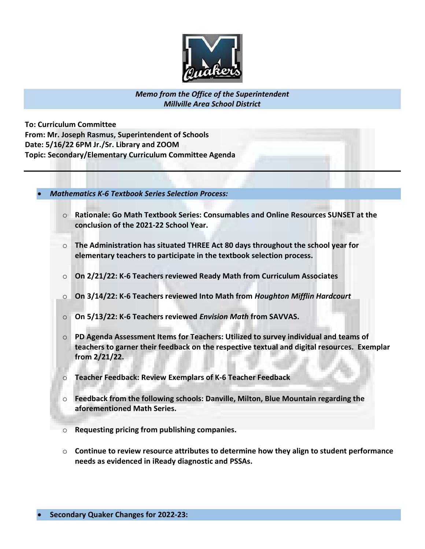

Memo from the Office of the Superintendent Millville Area School District

To: Curriculum Committee From: Mr. Joseph Rasmus, Superintendent of Schools Date: 5/16/22 6PM Jr./Sr. Library and ZOOM Topic: Secondary/Elementary Curriculum Committee Agenda

Mathematics K-6 Textbook Series Selection Process:

- $\circ$  Rationale: Go Math Textbook Series: Consumables and Online Resources SUNSET at the conclusion of the 2021-22 School Year.
- $\circ$  The Administration has situated THREE Act 80 days throughout the school year for elementary teachers to participate in the textbook selection process.
- $\circ$  On 2/21/22: K-6 Teachers reviewed Ready Math from Curriculum Associates
- $\circ$  On 3/14/22: K-6 Teachers reviewed Into Math from Houghton Mifflin Hardcourt
- On 5/13/22: K-6 Teachers reviewed Envision Math from SAVVAS.
- o PD Agenda Assessment Items for Teachers: Utilized to survey individual and teams of teachers to garner their feedback on the respective textual and digital resources. Exemplar from 2/21/22.
- o Teacher Feedback: Review Exemplars of K-6 Teacher Feedback
- o Feedback from the following schools: Danville, Milton, Blue Mountain regarding the aforementioned Math Series.
- o Requesting pricing from publishing companies.
- $\circ$  Continue to review resource attributes to determine how they align to student performance needs as evidenced in iReady diagnostic and PSSAs.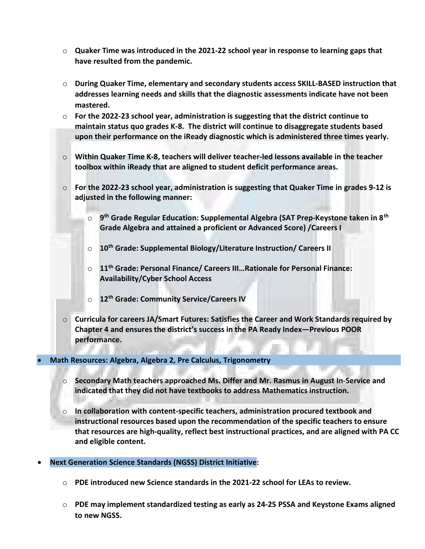- $\circ$  Quaker Time was introduced in the 2021-22 school year in response to learning gaps that have resulted from the pandemic.
- $\circ$  During Quaker Time, elementary and secondary students access SKILL-BASED instruction that addresses learning needs and skills that the diagnostic assessments indicate have not been mastered.
- $\circ$  For the 2022-23 school year, administration is suggesting that the district continue to maintain status quo grades K-8. The district will continue to disaggregate students based upon their performance on the iReady diagnostic which is administered three times yearly.
- $\circ$  Within Quaker Time K-8, teachers will deliver teacher-led lessons available in the teacher toolbox within iReady that are aligned to student deficit performance areas.
- $\circ$  For the 2022-23 school year, administration is suggesting that Quaker Time in grades 9-12 is adjusted in the following manner:
	- $\circ$  g<sup>th</sup> Grade Regular Education: Supplemental Algebra (SAT Prep-Keystone taken in 8<sup>th</sup> Grade Algebra and attained a proficient or Advanced Score) /Careers I
	- o 10<sup>th</sup> Grade: Supplemental Biology/Literature Instruction/ Careers II
	- o 11<sup>th</sup> Grade: Personal Finance/ Careers III...Rationale for Personal Finance: Availability/Cyber School Access
	- o 12<sup>th</sup> Grade: Community Service/Careers IV
- $\circ$  Curricula for careers JA/Smart Futures: Satisfies the Career and Work Standards required by Chapter 4 and ensures the district's success in the PA Ready Index—Previous POOR performance.

# Math Resources: Algebra, Algebra 2, Pre Calculus, Trigonometry

- $\circ$  Secondary Math teachers approached Ms. Differ and Mr. Rasmus in August In-Service and indicated that they did not have textbooks to address Mathematics instruction.
- $\circ$  In collaboration with content-specific teachers, administration procured textbook and instructional resources based upon the recommendation of the specific teachers to ensure that resources are high-quality, reflect best instructional practices, and are aligned with PA CC and eligible content.
- Next Generation Science Standards (NGSS) District Initiative:
	- $\circ$  PDE introduced new Science standards in the 2021-22 school for LEAs to review.
	- $\circ$  PDE may implement standardized testing as early as 24-25 PSSA and Keystone Exams aligned to new NGSS.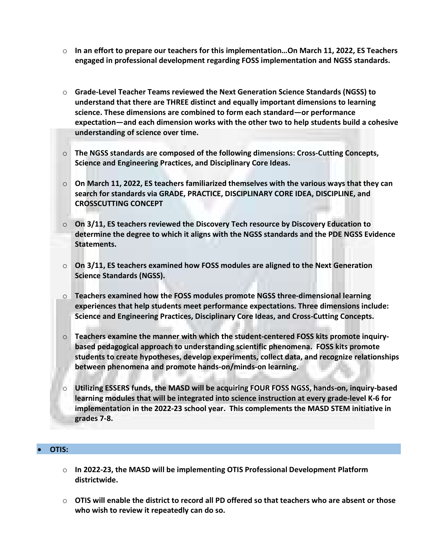- $\circ$  In an effort to prepare our teachers for this implementation...On March 11, 2022, ES Teachers engaged in professional development regarding FOSS implementation and NGSS standards.
- $\circ$  Grade-Level Teacher Teams reviewed the Next Generation Science Standards (NGSS) to understand that there are THREE distinct and equally important dimensions to learning science. These dimensions are combined to form each standard—or performance expectation—and each dimension works with the other two to help students build a cohesive understanding of science over time.
- o The NGSS standards are composed of the following dimensions: Cross-Cutting Concepts, Science and Engineering Practices, and Disciplinary Core Ideas.
- $\circ$  On March 11, 2022, ES teachers familiarized themselves with the various ways that they can search for standards via GRADE, PRACTICE, DISCIPLINARY CORE IDEA, DISCIPLINE, and CROSSCUTTING CONCEPT
- $\circ$  On 3/11, ES teachers reviewed the Discovery Tech resource by Discovery Education to determine the degree to which it aligns with the NGSS standards and the PDE NGSS Evidence Statements.
- $\circ$  On 3/11, ES teachers examined how FOSS modules are aligned to the Next Generation Science Standards (NGSS).
- $\circ$  Teachers examined how the FOSS modules promote NGSS three-dimensional learning experiences that help students meet performance expectations. Three dimensions include: Science and Engineering Practices, Disciplinary Core Ideas, and Cross-Cutting Concepts.
- $\circ$  Teachers examine the manner with which the student-centered FOSS kits promote inquirybased pedagogical approach to understanding scientific phenomena. FOSS kits promote students to create hypotheses, develop experiments, collect data, and recognize relationships between phenomena and promote hands-on/minds-on learning.
- o Utilizing ESSERS funds, the MASD will be acquiring FOUR FOSS NGSS, hands-on, inquiry-based learning modules that will be integrated into science instruction at every grade-level K-6 for implementation in the 2022-23 school year. This complements the MASD STEM initiative in grades 7-8.

# OTIS:

- $\circ$  In 2022-23, the MASD will be implementing OTIS Professional Development Platform districtwide.
- $\circ$  OTIS will enable the district to record all PD offered so that teachers who are absent or those who wish to review it repeatedly can do so.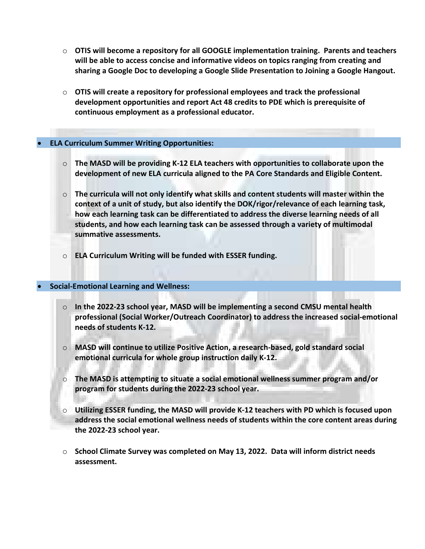- $\circ$  OTIS will become a repository for all GOOGLE implementation training. Parents and teachers will be able to access concise and informative videos on topics ranging from creating and sharing a Google Doc to developing a Google Slide Presentation to Joining a Google Hangout.
- $\circ$  OTIS will create a repository for professional employees and track the professional development opportunities and report Act 48 credits to PDE which is prerequisite of continuous employment as a professional educator.

# ELA Curriculum Summer Writing Opportunities:

- $\circ$  The MASD will be providing K-12 ELA teachers with opportunities to collaborate upon the development of new ELA curricula aligned to the PA Core Standards and Eligible Content.
- $\circ$  The curricula will not only identify what skills and content students will master within the context of a unit of study, but also identify the DOK/rigor/relevance of each learning task, how each learning task can be differentiated to address the diverse learning needs of all students, and how each learning task can be assessed through a variety of multimodal summative assessments.
- $\circ$  ELA Curriculum Writing will be funded with ESSER funding.

# Social-Emotional Learning and Wellness:

- $\circ$  In the 2022-23 school year, MASD will be implementing a second CMSU mental health professional (Social Worker/Outreach Coordinator) to address the increased social-emotional needs of students K-12.
- $\circ$  MASD will continue to utilize Positive Action, a research-based, gold standard social emotional curricula for whole group instruction daily K-12.
- $\circ$  The MASD is attempting to situate a social emotional wellness summer program and/or program for students during the 2022-23 school year.
- o Utilizing ESSER funding, the MASD will provide K-12 teachers with PD which is focused upon address the social emotional wellness needs of students within the core content areas during the 2022-23 school year.
- $\circ$  School Climate Survey was completed on May 13, 2022. Data will inform district needs assessment.